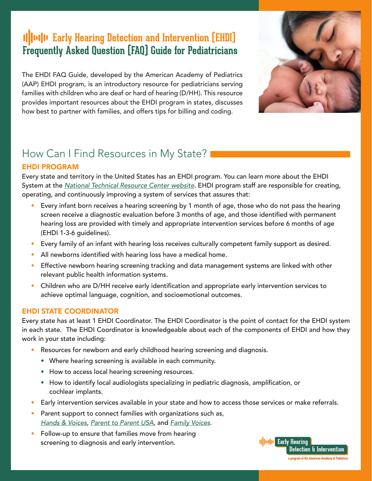# *II||Iu|II* Early Hearing Detection and Intervention [EHDI] **Frequently Asked Question (FAQ) Guide for Pediatricians**

The EHDI FAQ Guide, developed by the American Academy of Pediatrics (AAP) EHDI program, is an introductory resource for pediatricians serving families with children who are deaf or hard of hearing (D/HH). This resource provides important resources about the EHDI program in states, discusses how best to partner with families, and offers tips for billing and coding.



# How Can I Find Resources in My State?

#### EHDI PROGRAM

Every state and territory in the United States has an EHDI program. You can learn more about the EHDI System at the *[National Technical Resource Center website](http://www.infanthearing.org/index.html)*. EHDI program staff are responsible for creating, operating, and continuously improving a system of services that assures that:

- Every infant born receives a hearing screening by 1 month of age, those who do not pass the hearing screen receive a diagnostic evaluation before 3 months of age, and those identified with permanent hearing loss are provided with timely and appropriate intervention services before 6 months of age (EHDI 1-3-6 guidelines).
- Every family of an infant with hearing loss receives culturally competent family support as desired.
- All newborns identified with hearing loss have a medical home.
- Effective newborn hearing screening tracking and data management systems are linked with other relevant public health information systems.
- Children who are D/HH receive early identification and appropriate early intervention services to achieve optimal language, cognition, and socioemotional outcomes.

#### EHDI STATE COORDINATOR

Every state has at least 1 EHDI Coordinator. The EHDI Coordinator is the point of contact for the EHDI system in each state. The EHDI Coordinator is knowledgeable about each of the components of EHDI and how they work in your state including:

- Resources for newborn and early childhood hearing screening and diagnosis.
	- Where hearing screening is available in each community.
	- How to access local hearing screening resources.
	- How to identify local audiologists specializing in pediatric diagnosis, amplification, or cochlear implants.
- Early intervention services available in your state and how to access those services or make referrals.
- Parent support to connect families with organizations such as, *[Hands & Voices](https://www.handsandvoices.org/)*, *[Parent to Parent USA](https://www.p2pusa.org/)*, and *[Family Voices](https://familyvoices.org/)*.
- Follow-up to ensure that families move from hearing screening to diagnosis and early intervention.

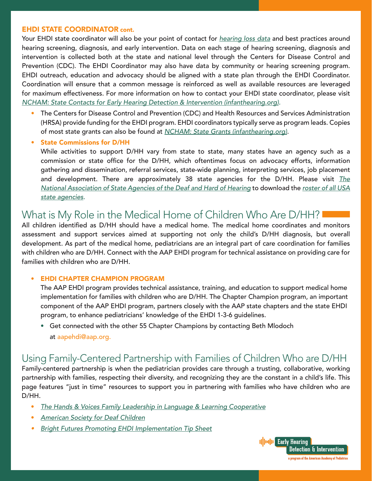#### EHDI STATE COORDINATOR cont.

Your EHDI state coordinator will also be your point of contact for *[hearing loss data](https://www.cdc.gov/ncbddd/hearingloss/ehdi-data.html)* and best practices around hearing screening, diagnosis, and early intervention. Data on each stage of hearing screening, diagnosis and intervention is collected both at the state and national level through the Centers for Disease Control and Prevention (CDC). The EHDI Coordinator may also have data by community or hearing screening program. EHDI outreach, education and advocacy should be aligned with a state plan through the EHDI Coordinator. Coordination will ensure that a common message is reinforced as well as available resources are leveraged for maximum effectiveness. For more information on how to contact your EHDI state coordinator, please visit *[NCHAM: State Contacts for Early Hearing Detection & Intervention \(infanthearing.org\)](https://www.infanthearing.org/status/cnhs.php).*

- The Centers for Disease Control and Prevention (CDC) and Health Resources and Services Administration (HRSA) provide funding for the EHDI program. EHDI coordinators typically serve as program leads. Copies of most state grants can also be found at *[NCHAM: State Grants \(infanthearing.org\)](https://www.infanthearing.org/stategrants/index.php)*.
- State Commissions for D/HH

 While activities to support D/HH vary from state to state, many states have an agency such as a commission or state office for the D/HH, which oftentimes focus on advocacy efforts, information gathering and dissemination, referral services, state-wide planning, interpreting services, job placement and development. There are approximately 38 state agencies for the D/HH. Please visit *[The](http://nasadhh.org/)  [National Association of State Agencies of the Deaf and Hard of Hearing](http://nasadhh.org/)* to download the *[roster of all USA](http://nasadhh.org/wp-content/uploads/2016/01/NASADHH-Directory-EXTERNAL-2016-01.xls)   [state agencies](http://nasadhh.org/wp-content/uploads/2016/01/NASADHH-Directory-EXTERNAL-2016-01.xls).* 

## What is My Role in the Medical Home of Children Who Are D/HH?

All children identified as D/HH should have a medical home. The medical home coordinates and monitors assessment and support services aimed at supporting not only the child's D/HH diagnosis, but overall development. As part of the medical home, pediatricians are an integral part of care coordination for families with children who are D/HH. Connect with the AAP EHDI program for technical assistance on providing care for families with children who are D/HH.

#### • EHDI CHAPTER CHAMPION PROGRAM

 The AAP EHDI program provides technical assistance, training, and education to support medical home implementation for families with children who are D/HH. The Chapter Champion program, an important component of the AAP EHDI program, partners closely with the AAP state chapters and the state EHDI program, to enhance pediatricians' knowledge of the EHDI 1-3-6 guidelines.

 • Get connected with the other 55 Chapter Champions by contacting Beth Mlodoch at [aapehdi@aap.org](mailto:aapehdi%40aap.org?subject=Early%20Hearing%20Detection%20and%20Intervention%20FAQ%20Guide%20)*.* 

### Using Family-Centered Partnership with Families of Children Who are D/HH

Family-centered partnership is when the pediatrician provides care through a trusting, collaborative, working partnership with families, respecting their diversity, and recognizing they are the constant in a child's life. This page features "just in time" resources to support you in partnering with families who have children who are D/HH.

- *[The Hands & Voices Family Leadership in Language & Learning Cooperative](https://handsandvoices.org/fl3/)*
- *[American Society for Deaf Children](https://deafchildren.org/)*
- *• [Bright Futures Promoting EHDI Implementation Tip Sheet](https://brightfutures.aap.org/Bright%20Futures%20Documents/BF_EHDI_TipSheet.pdf)*